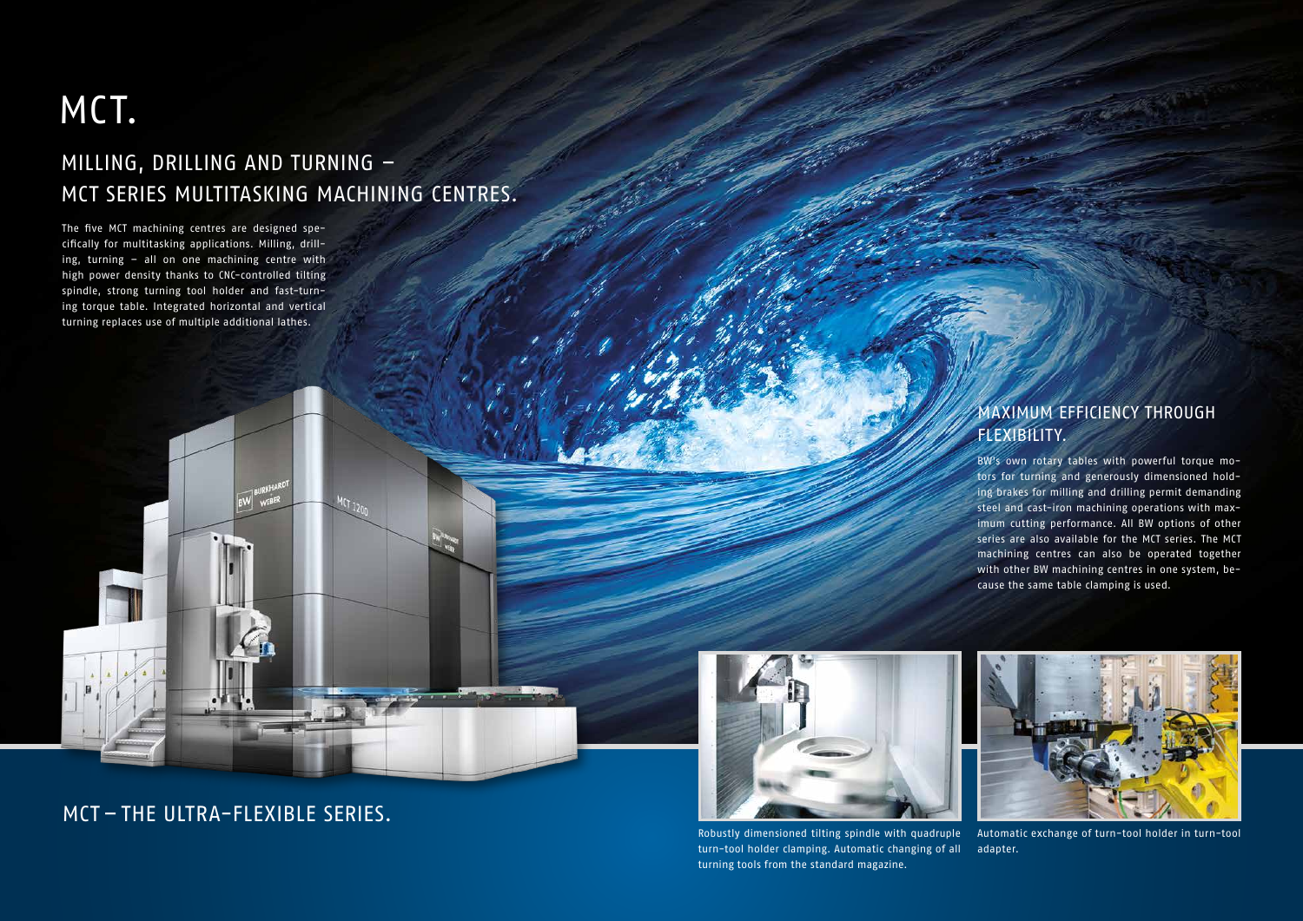The five MCT machining centres are designed specifically for multitasking applications. Milling, drilling, turning – all on one machining centre with high power density thanks to CNC-controlled tilting spindle, strong turning tool holder and fast-turning torque table. Integrated horizontal and vertical turning replaces use of multiple additional lathes.

## MILLING, DRILLING AND TURNING – MCT SERIES MULTITASKING MACHINING CENTRES.

 $MCT_{120}$ 

## MCT.

#### MAXIMUM EFFICIENCY THROUGH FLEXIBILITY.

BW's own rotary tables with powerful torque motors for turning and generously dimensioned holding brakes for milling and drilling permit demanding steel and cast-iron machining operations with maximum cutting performance. All BW options of other series are also available for the MCT series. The MCT machining centres can also be operated together with other BW machining centres in one system, because the same table clamping is used.





Robustly dimensioned tilting spindle with quadruple turn-tool holder clamping. Automatic changing of all adapter. turning tools from the standard magazine. Automatic exchange of turn-tool holder in turn-tool

MCT – THE ULTRA-FLEXIBLE SERIES.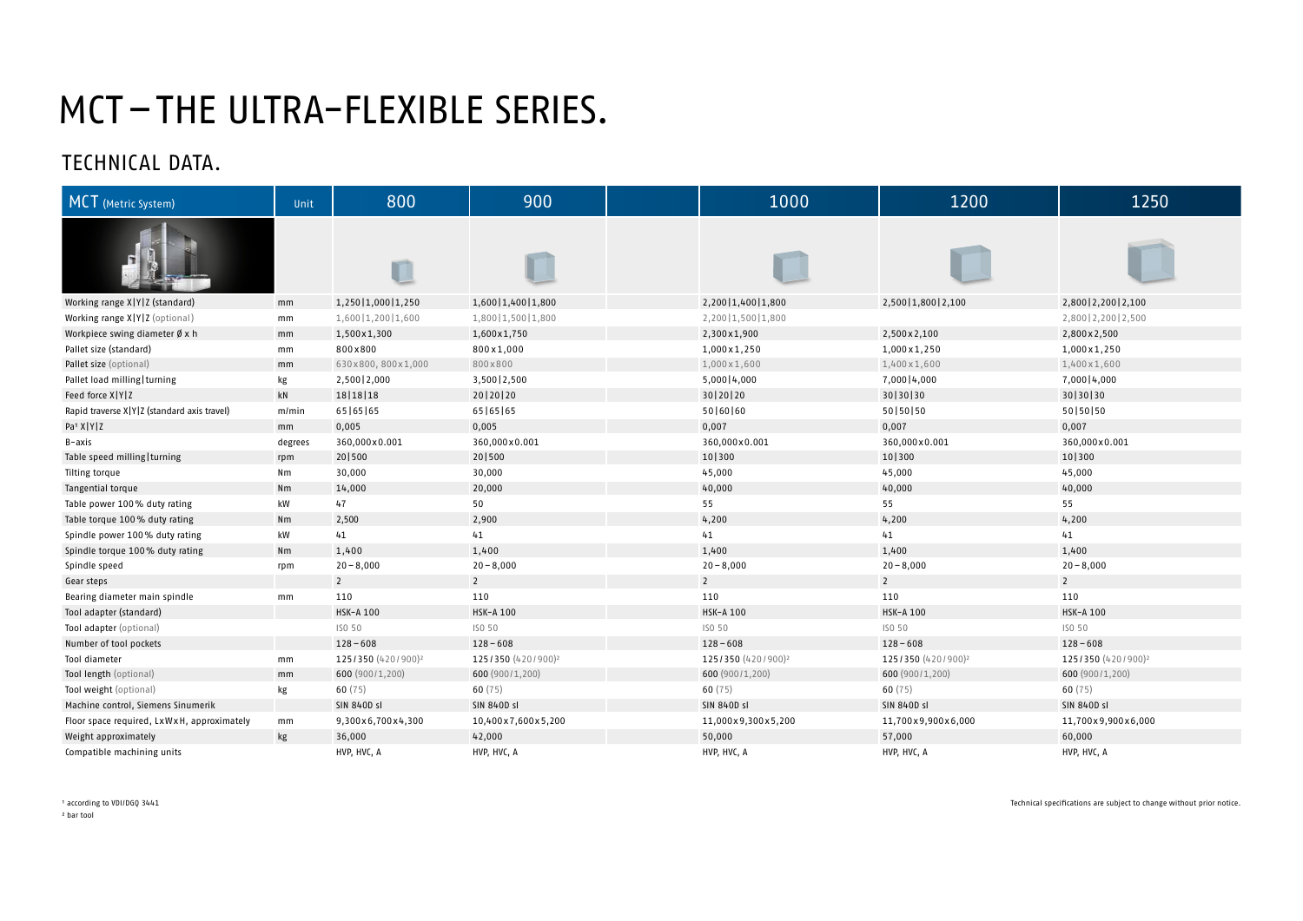| MCT (Metric System)                         | Unit          | 800                            | 900                            | 1000                           | 1200                           | 1250                           |
|---------------------------------------------|---------------|--------------------------------|--------------------------------|--------------------------------|--------------------------------|--------------------------------|
|                                             |               | U                              |                                |                                |                                |                                |
| Working range X Y Z (standard)              | mm            | 1,250   1,000   1,250          | 1,600   1,400   1,800          | 2,200   1,400   1,800          | 2,500   1,800   2,100          | 2,800   2,200   2,100          |
| Working range X Y Z (optional)              | mm            | 1,600   1,200   1,600          | 1,800   1,500   1,800          | 2,200   1,500   1,800          |                                | 2,800   2,200   2,500          |
| Workpiece swing diameter $\emptyset$ x h    | mm            | 1,500x1,300                    | 1,600x1,750                    | 2,300x1,900                    | 2,500 x 2,100                  | 2,800 x 2,500                  |
| Pallet size (standard)                      | mm            | 800×800                        | 800x1,000                      | 1,000 x 1,250                  | 1,000 x 1,250                  | 1,000x1,250                    |
| Pallet size (optional)                      | mm            | 630x800, 800x1,000             | 800x800                        | 1,000 x 1,600                  | 1,400 x 1,600                  | 1,400x1,600                    |
| Pallet load milling   turning               | kg            | 2,500   2,000                  | 3,500   2,500                  | $5,000$   4,000                | 7,000   4,000                  | 7,000   4,000                  |
| Feed force X Y Z                            | kN            | 18   18   18                   | 20   20   20                   | 30   20   20                   | 30 30 30                       | 30   30   30                   |
| Rapid traverse X Y Z (standard axis travel) | m/min         | 65   65   65                   | 65   65   65                   | 50 60 60                       | 50   50   50                   | 50   50   50                   |
| Pa <sup>1</sup> X   Y   Z                   | mm            | 0,005                          | 0,005                          | 0,007                          | 0,007                          | 0,007                          |
| B-axis                                      | degrees       | 360,000x0.001                  | 360,000x0.001                  | 360,000x0.001                  | 360,000x0.001                  | 360,000x0.001                  |
| Table speed milling   turning               | rpm           | 20 500                         | 20 500                         | 10 300                         | 10 300                         | 10 300                         |
| Tilting torque                              | Nm            | 30,000                         | 30,000                         | 45,000                         | 45,000                         | 45,000                         |
| Tangential torque                           | Nm            | 14,000                         | 20,000                         | 40,000                         | 40,000                         | 40,000                         |
| Table power 100% duty rating                | kW            | 47                             | 50                             | 55                             | 55                             | 55                             |
| Table torque 100% duty rating               | Nm            | 2,500                          | 2,900                          | 4,200                          | 4,200                          | 4,200                          |
| Spindle power 100% duty rating              | kW            | 41                             | 41                             | 41                             | 41                             | 41                             |
| Spindle torque 100% duty rating             | Nm            | 1,400                          | 1,400                          | 1,400                          | 1,400                          | 1,400                          |
| Spindle speed                               | rpm           | $20 - 8,000$                   | $20 - 8,000$                   | $20 - 8,000$                   | $20 - 8,000$                   | $20 - 8,000$                   |
| Gear steps                                  |               | $\overline{2}$                 | $\overline{2}$                 | $\overline{2}$                 | $\overline{2}$                 | $2^{\circ}$                    |
| Bearing diameter main spindle               | mm            | 110                            | 110                            | 110                            | 110                            | 110                            |
| Tool adapter (standard)                     |               | <b>HSK-A 100</b>               | <b>HSK-A 100</b>               | <b>HSK-A 100</b>               | <b>HSK-A 100</b>               | HSK-A 100                      |
| Tool adapter (optional)                     |               | ISO 50                         | ISO 50                         | ISO 50                         | ISO 50                         | ISO 50                         |
| Number of tool pockets                      |               | $128 - 608$                    | $128 - 608$                    | $128 - 608$                    | $128 - 608$                    | $128 - 608$                    |
| Tool diameter                               | mm            | 125/350 (420/900) <sup>2</sup> | 125/350 (420/900) <sup>2</sup> | 125/350 (420/900) <sup>2</sup> | 125/350 (420/900) <sup>2</sup> | 125/350 (420/900) <sup>2</sup> |
| Tool length (optional)                      | mm            | 600 (900/1,200)                | 600 (900/1,200)                | 600 (900/1,200)                | 600 (900/1,200)                | 600 (900/1,200)                |
| Tool weight (optional)                      | kg            | 60(75)                         | 60(75)                         | 60(75)                         | 60(75)                         | 60(75)                         |
| Machine control, Siemens Sinumerik          |               | <b>SIN 840D sl</b>             | <b>SIN 840D sl</b>             | <b>SIN 840D sl</b>             | <b>SIN 840D sl</b>             | <b>SIN 840D sl</b>             |
| Floor space required, LxWxH, approximately  | $\mathsf{mm}$ | 9,300x6,700x4,300              | 10,400x7,600x5,200             | 11,000x9,300x5,200             | 11,700x9,900x6,000             | 11,700x9,900x6,000             |
| Weight approximately                        | kg            | 36,000                         | 42,000                         | 50,000                         | 57,000                         | 60,000                         |
| Compatible machining units                  |               | HVP, HVC, A                    | HVP, HVC, A                    | HVP, HVC, A                    | HVP, HVC, A                    | HVP, HVC, A                    |

<sup>1</sup> according to VDI/DGQ 3441

# MCT–THE ULTRA-FLEXIBLE SERIES.

² bar tool



| 2,800   2,200   2,100          |
|--------------------------------|
| 2,800   2,200   2,500          |
| 2,800 x 2,500                  |
| 1,000x1,250                    |
| 1,400 x 1,600                  |
| 7,000 4,000                    |
| 30   30   30                   |
| 50 50 50                       |
| 0,007                          |
| 360,000x0.001                  |
| 10 300                         |
| 45,000                         |
| 40,000                         |
| 55                             |
| 4,200                          |
| 41                             |
| 1,400                          |
| $20 - 8,000$                   |
| 2                              |
| 110                            |
| <b>HSK-A 100</b>               |
| ISO 50                         |
| $128 - 608$                    |
| 125/350 (420/900) <sup>2</sup> |
| 600 (900/1,200)                |
| 60(75)                         |
| <b>SIN 840D sl</b>             |
| 11,700x9,900x6,000             |
| 60,000                         |
| HVP, HVC, A                    |

Technical specifications are subject to change without prior notice.

### TECHNICAL DATA.